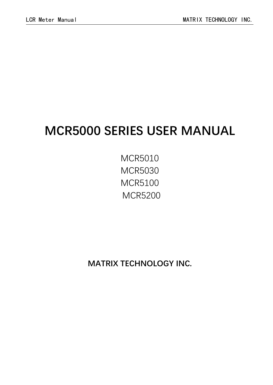# **MCR5000 SERIES USER MANUAL**

MCR5010 MCR5030 MCR5100 MCR5200

**MATRIX TECHNOLOGY INC.**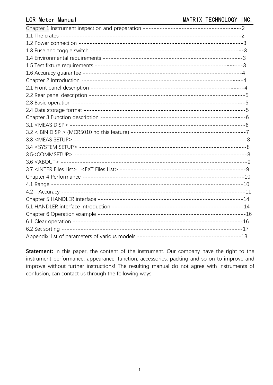Statement: in this paper, the content of the instrument. Our company have the right to the instrument performance, appearance, function, accessories, packing and so on to improve and improve without further instructions! The resulting manual do not agree with instruments of confusion, can contact us through the following ways.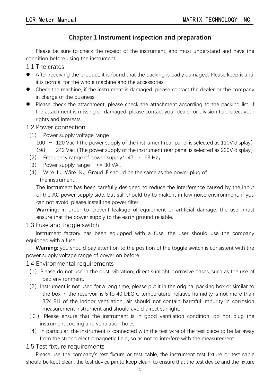# **Chapter 1 Instrument inspection and preparation**

Please be sure to check the receipt of the instrument, and must understand and have the condition before using the instrument.

1.1 The crates

- After receiving the product, it is found that the packing is badly damaged. Please keep it until it is normal for the whole machine and the accessories.
- Check the machine, if the instrument is damaged, please contact the dealer or the company in charge of the business.
- Please check the attachment, please check the attachment according to the packing list, if the attachment is missing or damaged, please contact your dealer or division to protect your rights and interests.

#### 1.2 Power connection

(1) Power supply voltage range:

100  $\sim$  120 Vac (The power supply of the instrument rear panel is selected as 110V display)

198  $\sim$  242 Vac (The power supply of the instrument rear panel is selected as 220V display)

- (2) Frequency range of power supply:  $47 \sim 63$  Hz.
- (3) Power supply range:  $>= 30 V A<sub>o</sub>$
- (4) Wire-L、Wire-N、Groud-E should be the same as the power plug of the instrument.

The instrument has been carefully designed to reduce the interference caused by the input of the AC power supply side, but still should try to make it in low noise environment, if you can not avoid, please install the power filter.

**Warning:** in order to prevent leakage of equipment or artificial damage, the user must ensure that the power supply to the earth ground reliable.

1.3 Fuse and toggle switch

Instrument factory has been equipped with a fuse, the user should use the company equipped with a fuse.

**Warning:** you should pay attention to the position of the toggle switch is consistent with the power supply voltage range of power on before.

#### 1.4 Environmental requirements

- $(1)$  Please do not use in the dust, vibration, direct sunlight, corrosive gases, such as the use of bad environment.
- $(2)$  Instrument is not used for a long time, please put it in the original packing box or similar to the box in the reservoir is 5 to 40 DEG C temperature, relative humidity is not more than 85% RH of the indoor ventilation, air should not contain harmful impurity in corrosion measurement instrument and should avoid direct sunlight.
- ( 3 ) Please ensure that the instrument is in good ventilation condition, do not plug the instrument cooling and ventilation holes.
- $(4)$  In particular, the instrument is connected with the test wire of the test piece to be far away from the strong electromagnetic field, so as not to interfere with the measurement.

### 1.5 Test fixture requirements

Please use the company's test fixture or test cable, the instrument test fixture or test cable should be kept clean, the test device pin to keep clean, to ensure that the test device and the fixture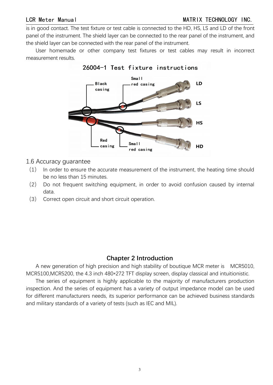is in good contact. The test fixture or test cable is connected to the HD, HS, LS and LD of the front panel of the instrument. The shield layer can be connected to the rear panel of the instrument, and the shield layer can be connected with the rear panel of the instrument.

User homemade or other company test fixtures or test cables may result in incorrect measurement results.





#### 1.6 Accuracy guarantee

- (1) In order to ensure the accurate measurement of the instrument, the heating time should be no less than 15 minutes.
- (2) Do not frequent switching equipment, in order to avoid confusion caused by internal data.
- (3) Correct open circuit and short circuit operation.

# **Chapter 2 Introduction**

A new generation of high precision and high stability of boutique MCR meter is MCR5010, MCR5100,MCR5200, the 4.3 inch 480\*272 TFT display screen, display classical and intuitionistic.

The series of equipment is highly applicable to the majority of manufacturers production inspection. And the series of equipment has a variety of output impedance model can be used for different manufacturers needs, its superior performance can be achieved business standards and military standards of a variety of tests (such as IEC and MIL).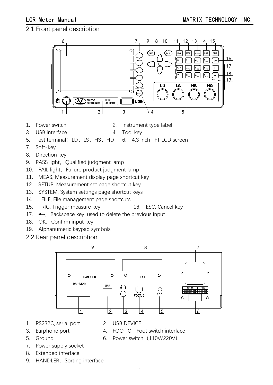# 2.1 Front panel description



- 
- 1. Power switch 2. Instrument type label
- 3. USB interface 4. Tool key
	-
- 5. Test terminal:LD、LS、HS、HD 6. 4.3 inch TFT LCD screen
- 7. Soft-key
- 8. Direction key
- 9. PASS light, Qualified judgment lamp
- 10. FAIL light, Failure product judgment lamp
- 11. MEAS, Measurement display page shortcut key
- 12. SETUP, Measurement set page shortcut key
- 13. SYSTEM, System settings page shortcut keys
- 14. FILE, File management page shortcuts
- 15. TRIG, Trigger measure key 16. ESC, Cancel key
- 17.  $\leftarrow$ , Backspace key, used to delete the previous input
- 18. OK, Confirm input key
- 19. Alphanumeric keypad symbols
- 2.2 Rear panel description



- 1. RS232C, serial port 2. USB DEVICE
- 
- 
- 
- 
- 
- 
- 
- 3. Earphone port 4. FOOT.C, Foot switch interface
- 
- 5. Ground 6. Power switch (110V/220V)
- 7. Power supply socket
- 8. Extended interface
- 9. HANDLER, Sorting interface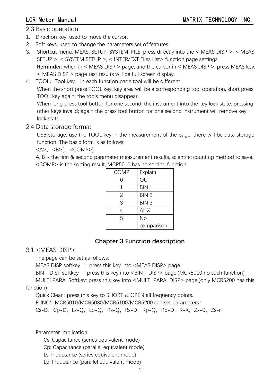### 2.3 Basic operation

- 1. Direction key: used to move the cursor.
- 2. Soft keys, used to change the parameters set of features.
- 3. Shortcut menu: MEAS, SETUP, SYSTEM, FILE, press directly into the < MEAS DISP >, < MEAS SETUP >, < SYSTEM SETUP >, < INTER/EXT FilesList> function page settings. **Reminder:** when in < MEAS DISP > page, and the cursor in < MEAS DISP >, press MEAS key, < MEAS DISP > page test results will be full screen display.
- 4. TOOL: Tool key, In each function page tool will be different. When the short press TOOL key, key area will be a corresponding tool operation, short press TOOL key again, the tools menu disappear.

When long press tool button for one second, the instrument into the key lock state, pressing other keys invalid; again the press tool button for one second instrument will remove key lock state.

# 2.4 Data storage format

USB storage, use the TOOL key in the measurement of the page, there will be data storage function. The basic form is as follows:

 $<$ A>,  $<$ B>[,  $<$ COMP>]

A, B is the first & second parameter measurement results, scientific counting method to save. <COMP> is the sorting result, MCR5010 has no sorting function.

| <b>COMP</b> | Explain    |
|-------------|------------|
|             | OUT        |
|             | BIN 1      |
| 2           | BIN 2      |
| 3           | BIN 3      |
|             | <b>AUX</b> |
| 5           | No         |
|             | comparison |

# **Chapter 3 Function description**

# 3.1 <MEAS DISP>

The page can be set as follows:

MEAS DISP softkey : press this key into  $\leq$  MEAS DISP > page.

BIN DISP softkey : press this key into <BIN DISP> page.(MCR5010 no such function)

MULTI PARA. Softkey: press this key into <MULTI PARA. DISP> page.(only MCR5200 has this

function)

Quick Clear: press this key to SHORT & OPEN all frequency points.

FUNC: MCR5010/MCR5030/MCR5100/MCR5200 can set parameters:

Cs-D,Cp-D,Ls-Q,Lp-Q,Rs-Q,Rs-D,Rp-Q,Rp-D,R-X,Zs-θ,Zs-r;

Parameter implication:

Cs: Capacitance (series equivalent mode)

Cp: Capacitance (parallel equivalent mode)

Ls: Inductance (series equivalent mode)

Lp: Inductance (parallel equivalent mode)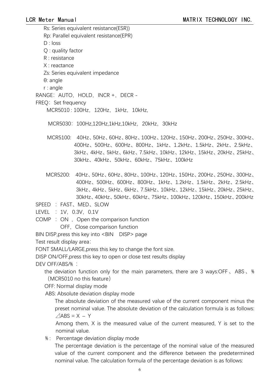Rs: Series equivalent resistance(ESR)) Rp: Parallel equivalent resistance(EPR) D : loss Q : quality factor R : resistance X : reactance Zs: Series equivalent impedance θ: angle r : angle RANGE: AUTO, HOLD, INCR +, DECR -FREQ: Set frequency MCR5010 : 100Hz,120Hz,1kHz,10kHz,

MCR5030:100Hz,120Hz,1kHz,10kHz,20kHz,30kHz

- MCR5100: 40Hz、50Hz、60Hz、80Hz、100Hz、120Hz、150Hz、200Hz、250Hz、300Hz、 400Hz、500Hz、600Hz、800Hz、1kHz、1.2kHz、1.5kHz、2kHz、2.5kHz、 3kHz、4kHz、5kHz、6kHz、7.5kHz、10kHz、12kHz、15kHz、20kHz、25kHz、 30kHz、40kHz、50kHz、60kHz、75kHz、100kHz
- MCR5200: 40Hz、50Hz、60Hz、80Hz、100Hz、120Hz、150Hz、200Hz、250Hz、300Hz、 400Hz、500Hz、600Hz、800Hz、1kHz、1.2kHz、1.5kHz、2kHz、2.5kHz、 3kHz、4kHz、5kHz、6kHz、7.5kHz、10kHz、12kHz、15kHz、20kHz、25kHz、 30kHz、40kHz、50kHz、60kHz、75kHz、100kHz、120kHz、150kHz、200kHz

SPEED : FAST、MED、SLOW

LEVEL : 1V, 0.3V, 0.1V

 $COMP : ON$ , Open the comparison function

OFF, Close comparison function

BIN DISP, press this key into <BIN DISP> page

Test result display area:

FONT SMALL/LARGE,press this key to change the font size.

DISP ON/OFF,press this key to open or close test results display

DEV OFF/ABS/% :

the deviation function only for the main parameters, there are 3 ways:OFF、ABS、% (MCR5010 no this feature)

OFF: Normal display mode

ABS: Absolute deviation display mode

The absolute deviation of the measured value of the current component minus the preset nominal value. The absolute deviation of the calculation formula is as follows:  $\triangle$ ABS = X – Y

Among them,  $X$  is the measured value of the current measured,  $Y$  is set to the nominal value.

% : Percentage deviation display mode

The percentage deviation is the percentage of the nominal value of the measured value of the current component and the difference between the predetermined nominal value. The calculation formula of the percentage deviation is as follows: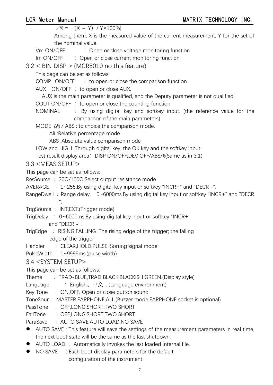| $\angle 1\% = (X - Y) / Y \times 100$ [%] |  |  |  |  |  |
|-------------------------------------------|--|--|--|--|--|
|-------------------------------------------|--|--|--|--|--|

Among them, X is the measured value of the current measurement, Y for the set of the nominal value.

Vm ON/OFF : Open or close voltage monitoring function

Im ON/OFF : Open or close current monitoring function

3.2 < BIN DISP > (MCR5010 no this feature)

This page can be set as follows:

COMP  $ON/OFF$  : to open or close the comparison function

AUX ON/OFF : to open or close AUX.

AUX is the main parameter is qualified, and the Deputy parameter is not qualified.

- COUT ON/OFF  $\div$  to open or close the counting function
- NOMINAL : By using digital key and softkey input. (the reference value for the comparison of the main parameters)

MODE Δ% / ABS : to choice the comparison mode.

Δ% :Relative percentage mode

ABS :Absolute value comparison mode

LOW and HIGH : Through digital key, the OK key and the softkey input.

Test result display area: DISP ON/OFF;DEV OFF/ABS/%(Same as in 3.1)

3.3 <MEAS SETUP>

This page can be set as follows:

ResSource : 30Ω/100Ω,Select output resistance mode

- AVERAGE : 1~255.By using digital key input or softkey "INCR+" and "DECR -".
- RangeDwell : Range delay. 0~6000ms.By using digital key input or softkey "INCR+" and "DECR  $-$ ".

TrigSource : INT, EXT. (Trigger mode)

- TrigDelay : 0~6000ms.By using digital key input or softkey "INCR+" and "DECR -".
- TrigEdge : RISING,FALLING .The rising edge of the trigger; the falling edge of the trigger
- Handler : CLEAR, HOLD, PULSE. Sorting signal mode
- PulseWidth : 1~9999ms.(pulse width)

### 3.4 <SYSTEM SETUP>

This page can be set as follows:

Theme : TRAD-BLUE, TRAD BLACK, BLACKISH GREEN. (Display style)

- Language  $\therefore$  English、中文 . (Language environment)
- Key Tone : ON, OFF. Open or close button sound

ToneSour: MASTER,EARPHONE,ALL.(Buzzer mode,EARPHONE socket is optional)

- PassTone : OFF,LONG,SHORT,TWO SHORT
- FailTone : OFF,LONG,SHORT,TWO SHORT

ParaSave : AUTO SAVE, AUTO LOAD, NO SAVE

- AUTO SAVE: This feature will save the settings of the measurement parameters in real time, the next boot state will be the same as the last shutdown.
- $\bullet$  AUTO LOAD : Automatically invokes the last loaded internal file.
- NO SAVE : Each boot display parameters for the default configuration of the instrument.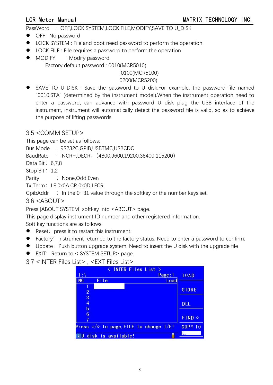PassWord : OFF,LOCK SYSTEM,LOCK FILE,MODIFY,SAVE TO U\_DISK

- OFF : No password
- LOCK SYSTEM : File and boot need password to perform the operation
- LOCK FILE : File requires a password to perform the operation
- MODIFY : Modify password.

Factory default password : 0010(MCR5010)

#### 0100(MCR5100)

#### 0200(MCR5200)

 SAVE TO U\_DISK : Save the password to U disk.For example, the password file named "0010.STA" (determined by the instrument model).When the instrument operation need to enter a password, can advance with password U disk plug the USB interface of the instrument, instrument will automatically detect the password file is valid, so as to achieve the purpose of lifting passwords.

# 3.5 <COMM SETUP>

This page can be set as follows:

Bus Mode : RS232C,GPIB,USBTMC,USBCDC

BaudRate : INCR+,DECR- (4800,9600,19200,38400,115200)

- Data Bit: 6,7,8
- Stop Bit: 1,2

Parity : None, Odd, Even

Tx Term: LF 0x0A,CR 0x0D,LFCR

GpibAddr : In the  $0-31$  value through the softkey or the number keys set.

3.6 <ABOUT>

Press [ABOUT SYSTEM] softkey into <ABOUT> page.

This page display instrument ID number and other registered information.

Soft key functions are as follows:

- Reset: press it to restart this instrument.
- Factory: Instrument returned to the factory status. Need to enter a password to confirm.
- Update: Push button upgrade system. Need to insert the U disk with the upgrade file
- EXIT: Return to < SYSTEM SETUP> page.
- 3.7 <INTER Files List> , <EXT FilesList>

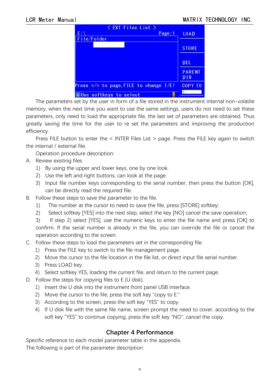| < EXT Files List ><br>$E:\Lambda$<br>Page: 1         | <b>LOAD</b>                 |
|------------------------------------------------------|-----------------------------|
| File/Folder                                          |                             |
|                                                      | <b>STORE</b>                |
|                                                      | <b>DEL</b>                  |
|                                                      | <b>PARENT</b><br><b>DIR</b> |
| Press $\Leftrightarrow$ to page, FILE to change I/E! | <b>COPY TO</b>              |
| i Use softkeys to select                             |                             |

The parameters set by the user in form of a file stored in the instrument internal non-volatile memory, when the next time you want to use the same settings, users do not need to set these parameters, only need to load the appropriate file, the last set of parameters are obtained. Thus greatly saving the time for the user to re set the parameters and improving the production efficiency.

Press FILE button to enter the < INTER Files List > page. Press the FILE key again to switch the internal / external file.

Operation procedure description:

- A. Review existing files
	- 1) By using the upper and lower keys, one by one look.<br>2) Use the left and right buttons, can look at the page.
	-
	- 3) Input file number keys corresponding to the serial number, then press the button [OK], can be directly read the required file.
- B. Follow these steps to save the parameter to the file.
	- 1) The number at the cursor to need to save the file, press [STORE] softkey;
	- 2) Select softkey [YES] into the next step, select the key [NO] cancel the save operation;

3) If step 2) select [YES], use the numeric keys to enter the file name and press [OK] to confirm. If the serial number is already in the file, you can override the file or cancel the operation according to the screen.

- C. Follow these steps to load the parameters set in the corresponding file.
	- 1) Press the FILE key to switch to the file management page.
	- 2) Move the cursor to the file location in the file list, or direct input file serial number.
	- 3) Press LOAD key.
	- 4) Select softkey YES, loading the current file, and return to the current page.
- D. Follow the steps for copying files to E (U disk).
	- 1) Insert the U disk into the instrument front panel USB interface.
	- 2) Move the cursor to the file, press the soft key "copy to E:"
	- 3) According to the screen, press the soft key "YES" to copy.
	- 4) If U disk file with the same file name, screen prompt the need to cover, according to the soft key "YES" to continue copying, press the soft key "NO", cancel the copy.

# **Chapter 4 Performance**

Specific reference to each model parameter table in the appendix. The following is part of the parameter description: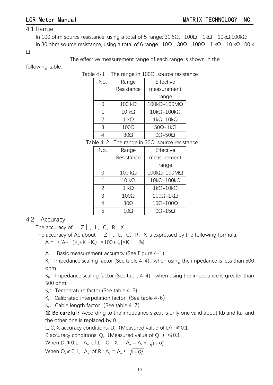#### 4.1 Range

In 100 ohm source resistance, using a total of 5 range: 31.6Ω, 100Ω, 1kΩ, 10kΩ,100kΩ In 30 ohm source resistance, using a total of 6 range :  $10\Omega$ ,  $30\Omega$ ,  $100\Omega$ ,  $1 \text{ k}\Omega$ ,  $10 \text{ k}\Omega$ ,100 k

 $\Omega$ 

The effective measurement range of each range is shown in the

following table.

Table 4-1 The range in 100Ω source resistance

| No.            | Range         | Effective                                 |
|----------------|---------------|-------------------------------------------|
|                | Resistance    | measurement                               |
|                |               | range                                     |
| 0              | $100 k\Omega$ | $100 \text{k}\Omega - 100 \text{M}\Omega$ |
| 1              | $10 k\Omega$  | $10k\Omega - 100k\Omega$                  |
| $\overline{2}$ | $1 k\Omega$   | $1k\Omega - 10k\Omega$                    |
| 3              | $100\Omega$   | $50\Omega - 1k\Omega$                     |
|                | $30\Omega$    | $0\Omega - 50\Omega$                      |

Table 4-2 The range in  $30\Omega$  source resistance

| No.            | Range         | Effective                 |
|----------------|---------------|---------------------------|
|                | Resistance    | measurement               |
|                |               | range                     |
| 0              | $100 k\Omega$ | $100k\Omega - 100M\Omega$ |
| $\mathbf{1}$   | $10 k\Omega$  | $10k\Omega - 100k\Omega$  |
| $\overline{2}$ | $1 k\Omega$   | $1k\Omega - 10k\Omega$    |
| 3              | $100\Omega$   | $100\Omega - 1k\Omega$    |
| 4              | $30\Omega$    | $15\Omega - 100\Omega$    |
| 5              | 10Ω           | $0\Omega - 15\Omega$      |

### 4.2 Accuracy

The accuracy of  $|Z|$ , L, C, R, X

The accuracy of Ae about  $|Z|$ , L, C, R, X is expressed by the following formula:  $A_e = \pm [A + (K_a + K_b + K_f) \times 100 + K_f] \times K_c$  [%]

A: Basic measurement accuracy (See Figure 4-1)

 $K<sub>a</sub>$ : Impedance scaling factor (See table 4-4), when using the impedance is less than 500 ohm .

 $K<sub>b</sub>$ : Impedance scaling factor (See table 4-4), when using the impedance is greater than 500 ohm.

 $K_c$ : Temperature factor (See table 4-5)

 $K<sub>i</sub>$ : Calibrated interpolation factor (See table 4-6)

 $K_i$ : Cable length factor (See table 4-7)

**C** Be careful: According to the impedance size, it is only one valid about Kb and Ka, and the other one is replaced by 0.

L, C, X accuracy conditions: D<sub>y</sub> (Measured value of D)  $\leq 0.1$ 

R accuracy conditions: Q<sub>x</sub> (Measured value of Q )  $\leq 0.1$ 

When 
$$
D_x \ge 0.1
$$
,  $A_e$  of L, C, X:  $A_e = A_e * \sqrt{1 + D_x^2}$ 

When  $Q_x \ge 0.1$ ,  $A_e$  of R :  $A_e = A_e * \sqrt{1 + Q_x^2}$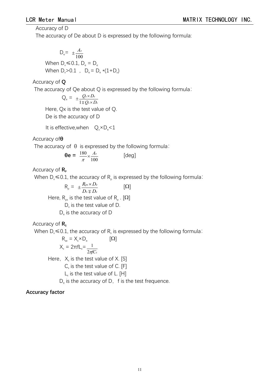#### Accuracy of D

The accuracy of De about D is expressed by the following formula:

 $D_e = \pm \frac{A_e}{100}$ When  $D \le 0.1$ ,  $D_e = D_e$ When  $D_x > 0.1$ ,  $D_e = D_e * (1 + D_x)$ 

Accuracy of **Q**

The accuracy of Qe about Q is expressed by the following formula:

 $Q_e = \pm \frac{Q_x \times D_e}{1 \mp Q_x \times D_e}$  $\mathbf{x} \times \mathbf{D}$ e  $Q_{\rm x} \times D_{\rm e}$  $\pm \frac{Q_x \times D_e}{Q_x \times D_e}$  $\times D_e$  $1\mp Q_x \times D_e$ Here, Qx is the test value of Q.

De is the accuracy of D

It is effective, when  $Q_x \times D_y \le 1$ 

Accuracy of**θ**

The accuracy of  $\theta$  is expressed by the following formula:

 $\theta e = \frac{180}{\pi} \times \frac{A_e}{100}$  [deg] [deg]

Accuracy of  $\mathsf{R}_P$ 

When D $_{\sf x}$ ≤0.1, the accuracy of R $_{\sf p}$  is expressed by the following formula:

 $R_{\rho} = \pm \frac{R_{px} \times D_e}{D_x \mp D_e}$  [ $\Omega$ ]  $\mp D_e$  $\times D_e$  [O] Here,  $\mathsf{R}_{\mathsf{px}}$  is the test value of  $\mathsf{R}_{\mathsf{p}}$  . [ $\Omega$ ]  $D<sub>x</sub>$  is the test value of D. D<sup>e</sup> is the accuracy of D

Accuracy of **R**<sub>s</sub>

When  $D_x \le 0.1$ , the accuracy of R<sub>s</sub> is expressed by the following formula:

 $R_{se} = X_x \times D_e$  [ $\Omega$ ]  $X_x = 2πfL_x = \frac{1}{2πfC_x}$ Here,  $X_x$  is the test value of X. [S]  $C_{x}$  is the test value of C. [F]  $L<sub>x</sub>$  is the test value of L. [H]  $D_{\rm e}$  is the accuracy of D, f is the test frequence.

#### **Accuracy factor**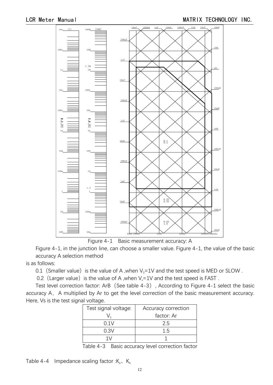

Figure 4-1 Basic measurement accuracy: A

Figure 4-1, in the junction line, can choose a smaller value. Figure 4-1, the value of the basic accuracy A selection method

is as follows:

0.1 (Smaller value) is the value of A ,when  $V_s=1V$  and the test speed is MED or SLOW .

0.2 (Larger value) is the value of A ,when  $V_s=1V$  and the test speed is FAST.

Test level correction factor: ArB (See table 4-3), According to Figure 4-1 select the basic accuracy A, A multiplied by Ar to get the level correction of the basic measurement accuracy. Here, Vs is the test signal voltage.

| Test signal voltage: | Accuracy correction |
|----------------------|---------------------|
|                      | factor: Ar          |
| 0.1V                 | 2.5                 |
| 0.3V                 | 15                  |
|                      |                     |

Table 4-3 Basic accuracy level correction factor

Table 4-4 Impedance scaling factor : $K_a$ ,  $K_b$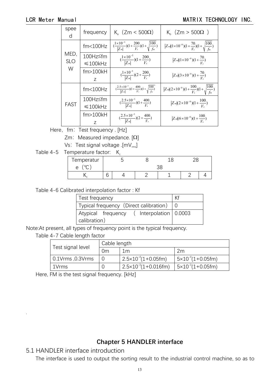#### LCR Meter Manual **MATRIX TECHNOLOGY INC.**

| spee<br>d  | frequency          | K <sub>a</sub> $(Zm < 500\Omega)$                                                          | $K_h$ (Zm > 500 $\Omega$ )                                           |  |
|------------|--------------------|--------------------------------------------------------------------------------------------|----------------------------------------------------------------------|--|
|            | fm<100Hz           | $\left(\frac{1\times10^{-3}}{ Z_m }\right)(1+\frac{200}{V_s})(1+\sqrt{\frac{100}{f_m}})$   | $Z_m[(1\times10^{-9})(1+\frac{70}{V_s})(1+\sqrt{\frac{100}{f_m}})]$  |  |
| MED,       | 100Hz≤fm           | $\frac{(1\times10^{-3})}{ Z_m }(1+\frac{200}{V_s})$                                        | $Z_m[(1\times10^{-9})(1+\frac{70}{V})]$                              |  |
| <b>SLO</b> | $\leq 100$ kHz     |                                                                                            |                                                                      |  |
| W          | $fm$ > $100$ $k$ H | $\frac{(1\times10^{-3})}{ Z_{m} }(2+\frac{200}{V_{s}})$                                    | $Z_m[(3\times10^{-9})(1+\frac{70}{V})]$                              |  |
|            |                    |                                                                                            |                                                                      |  |
|            | fm<100Hz           | $\left(\frac{2.5\times10^{-3}}{ Z_m }\right)(1+\frac{400}{V_s})(1+\sqrt{\frac{100}{f_m}})$ | $ Z_m (2\times10^{-9})(1+\frac{100}{V_s})(1+\sqrt{\frac{100}{f_m}})$ |  |
|            | 100Hz≤fm           | $\left(\frac{2.5\times10^{-3}}{ Z_{\text{m}} }\right)(1+\frac{400}{V_{\text{s}}})$         | $ Z_m (2\times10^{-9})(1+\frac{100}{V})$                             |  |
| FAST       | $\leq 100$ kHz     |                                                                                            |                                                                      |  |
|            | $fm$ > $100$ $k$ H | $\left(\frac{2.5\times10^{-3}}{ Z_m }\right)(2+\frac{400}{V_s})$                           | $Z_m[(6\times10^{-9})(1+\frac{100}{V})]$                             |  |
|            | Z                  |                                                                                            |                                                                      |  |

Here, fm: Test frequency . [Hz]

 $Zm$ : Measured impedance.  $[\Omega]$ 

Vs: Test signal voltage .[ $mV_{rms}$ ]

Table 4-5 Temperature factor: K.

| Temperatur<br>and the company |   |  |  |  |  |  |
|-------------------------------|---|--|--|--|--|--|
| $\sim$<br>e                   |   |  |  |  |  |  |
|                               | ີ |  |  |  |  |  |

Table 4-6 Calibrated interpolation factor : Kf

| Test frequency                                           |  |
|----------------------------------------------------------|--|
| Typical frequency (Direct calibration) $\vert 0 \rangle$ |  |
| Atypical frequency (Interpolation 0.0003                 |  |
| calibration)                                             |  |

Note:At present, all types of frequency point is the typical frequency.

| Table 4-7 Cable length factor |  |
|-------------------------------|--|
|-------------------------------|--|

|                   |    | Cable length                        |                                  |  |  |  |  |
|-------------------|----|-------------------------------------|----------------------------------|--|--|--|--|
| Test signal level | 0m | 1m                                  | 2m                               |  |  |  |  |
| 0.1Vrms , 0.3Vrms |    | $2.5 \times 10^{-4}(1 + 0.05$ fm)   | $5 \times 10^{-4} (1 + 0.05$ fm) |  |  |  |  |
| 1Vrms             |    | $2.5 \times 10^{-3} (1 + 0.016$ fm) | $5 \times 10^{-3} (1 + 0.05$ fm) |  |  |  |  |

Here, FM is the test signal frequency. [kHz]

### **Chapter 5 HANDLER interface**

5.1 HANDLER interface introduction

.

The interface is used to output the sorting result to the industrial control machine, so as to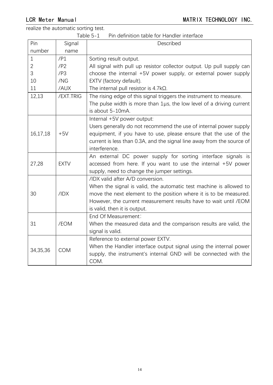realize the automatic sorting test.

Table 5-1 Pin definition table for Handler interface

| Pin          | Signal      | Described                                                                                                                                                                                                                                                                       |
|--------------|-------------|---------------------------------------------------------------------------------------------------------------------------------------------------------------------------------------------------------------------------------------------------------------------------------|
| number       | name        |                                                                                                                                                                                                                                                                                 |
| $\mathbf 1$  | /P1         | Sorting result output.                                                                                                                                                                                                                                                          |
| $\mathbf{2}$ | /P2         | All signal with pull up resistor collector output. Up pull supply can                                                                                                                                                                                                           |
| 3            | /P3         | choose the internal +5V power supply, or external power supply                                                                                                                                                                                                                  |
| 10           | /NG         | EXTV (factory default).                                                                                                                                                                                                                                                         |
| 11           | /AUX        | The internal pull resistor is $4.7k\Omega$ .                                                                                                                                                                                                                                    |
| 12,13        | /EXT.TRIG   | The rising edge of this signal triggers the instrument to measure.<br>The pulse width is more than $1\mu s$ , the low level of a driving current                                                                                                                                |
|              |             | is about 5-10mA.                                                                                                                                                                                                                                                                |
| 16,17,18     | $+5V$       | Internal +5V power output:<br>Users generally do not recommend the use of internal power supply<br>equipment, if you have to use, please ensure that the use of the<br>current is less than 0.3A, and the signal line away from the source of<br>interference.                  |
| 27,28        | <b>EXTV</b> | An external DC power supply for sorting interface signals is<br>accessed from here. If you want to use the internal +5V power<br>supply, need to change the jumper settings.                                                                                                    |
| 30           | /IDX        | /IDX valid after A/D conversion.<br>When the signal is valid, the automatic test machine is allowed to<br>move the next element to the position where it is to be measured.<br>However, the current measurement results have to wait until /EOM<br>is valid, then it is output. |
| 31           | /EOM        | End Of Measurement:<br>When the measured data and the comparison results are valid, the<br>signal is valid.                                                                                                                                                                     |
| 34,35,36     | <b>COM</b>  | Reference to external power EXTV.<br>When the Handler interface output signal using the internal power<br>supply, the instrument's internal GND will be connected with the<br>COM.                                                                                              |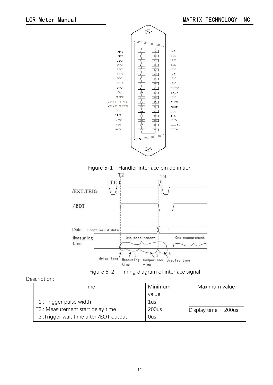





#### Description:

| Time                                     | Minimum | Maximum value          |
|------------------------------------------|---------|------------------------|
|                                          | value   |                        |
| T1 : Trigger pulse width                 | 1us     |                        |
| T2 : Measurement start delay time        | 200us   | Display time $+200$ us |
| T3: Trigger wait time after / EOT output | Ous     |                        |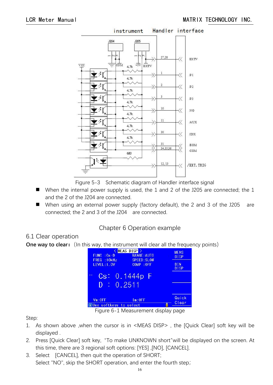

Figure 5-3 Schematic diagram of Handler interface signal

- When the internal power supply is used, the 1 and 2 of the J205 are connected; the 1 and the 2 of the J204 are connected.
- When using an external power supply (factory default), the 2 and 3 of the J205 are connected; the 2 and 3 of the J204 are connected.

# Chapter 6 Operation example

### 6.1 Clear operation

**One way to clear:** (In this way, the instrument will clear all the frequency points)

| <b>FUNC</b><br>$: Cs-D$<br>FREQ: 10kHz | MEAS DISP ><br><b>RANGE: AUTO</b><br><b>SPEED: SLOW</b> | <b>MEAS</b><br><b>DISP</b> |
|----------------------------------------|---------------------------------------------------------|----------------------------|
| <b>LEVEL: 1. 0V</b>                    | COMP : OFF                                              | <b>BIN</b><br><b>DISP</b>  |
| $\mathbb{C}$ s                         | 0.1444p<br>RF.                                          |                            |
|                                        | 0.2511                                                  |                            |
| Vm:OFF<br>i Use softkeys to select     | Im:OFF                                                  | Quick<br>Clear             |

Figure 6-1 Measurement display page

Step:

- 1. As shown above ,when the cursor is in <MEAS DISP> , the [Quick Clear] soft key will be displayed .
- 2. Press [Quick Clear] soft key, "To make UNKNOWN short"will be displayed on the screen. At this time, there are 3 regional soft options: [YES] ,[NO], [CANCEL].
- 3. Select [CANCEL], then quit the operation of SHORT; Select "NO", skip the SHORT operation, and enter the fourth step;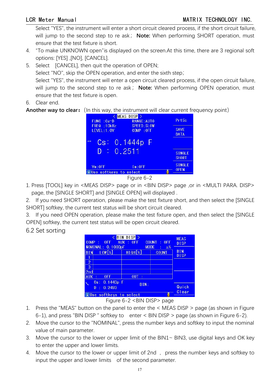Select "YES", the instrument will enter a short circuit cleared process, if the short circuit failure, will jump to the second step to re ask; Note: When performing SHORT operation, must ensure that the test fixture is short.

- 4. "To make UNKNOWN open"is displayed on the screen.At this time, there are 3 regional soft options: [YES] ,[NO], [CANCEL].
- 5. Select [CANCEL], then quit the operation of OPEN; Select "NO", skip the OPEN operation, and enter the sixth step; Select "YES", the instrument will enter a open circuit cleared process, if the open circuit failure, will jump to the second step to re ask; Note: When performing OPEN operation, must ensure that the test fixture is open.
- 6. Clear end.

**Another way to clear:** (In this way, the instrument will clear current frequency point)





1. Press [TOOL] key in <MEAS DISP> page or in <BIN DISP> page ,or in <MULTI PARA. DISP> page, the [SINGLE SHORT] and [SINGLE OPEN] will displayed .

2. If you need SHORT operation, please make the test fixture short, and then select the [SINGLE SHORT] softkey, the current test status will be short circuit cleared.

3. If you need OPEN operation, please make the test fixture open, and then select the [SINGLE OPEN] softkey, the current test status will be open circuit cleared.

6.2 Set sorting

| <b>COMP</b><br>0FF<br>NOMINAL: 0.1000pF | <b>BIN DISP</b><br>$\therefore$ OFF<br><b>AUX</b> | <b>COUNT</b><br>$:$ OFF<br><b>MODE</b><br>$\Delta\%$<br>÷ | <b>MEAS</b><br><b>DISP</b> |
|-----------------------------------------|---------------------------------------------------|-----------------------------------------------------------|----------------------------|
| $LOW[\%]$<br>BIN                        | HIGH[%]                                           | <b>COUNT</b>                                              | <b>BIN</b><br><b>DISP</b>  |
| $\overline{2}$<br>3<br>2nd              |                                                   |                                                           |                            |
| <b>AUX</b><br>0FF                       | <b>OUT</b>                                        |                                                           |                            |
| Cs: 0.1443p F<br>: 0.2493<br>D          | Quick<br>Clear                                    |                                                           |                            |
| i Use softkeys to select<br>$- \cdot$   | $\sim$ $\sim$<br>--------                         |                                                           |                            |

Figure 6-2 <BIN DISP> page

- 1. Press the "MEAS" button on the panel to enter the < MEASDISP > page (as shown in Figure
- 6-1), and press "BIN DISP " softkey to enter <sup>&</sup>lt; BIN DISP <sup>&</sup>gt; page (as shown in Figure 6-2).2. Move the cursor to the "NOMINAL", press the number keys and softkey to input the nominal value of main parameter.
- 3. Move the cursor to the lower or upper limit of the BIN1~ BIN3, use digital keys and OK key to enter the upper and lower limits.
- 4. Move the cursor to the lower or upper limit of 2nd, press the number keys and softkey to input the upper and lower limits of the second parameter.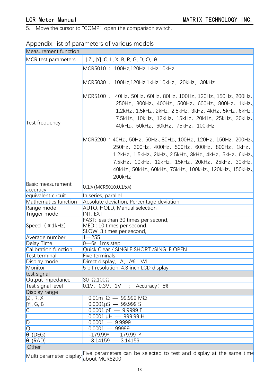5. Move the cursor to "COMP", open the comparison switch.

# Appendix: list of parameters of various models

| Measurement function                 |                                                                                                                                                                                                                                                                 |  |
|--------------------------------------|-----------------------------------------------------------------------------------------------------------------------------------------------------------------------------------------------------------------------------------------------------------------|--|
| MCR test parameters                  | Ζ ,  Y , C, L, X, B, R, G, D, Q, θ                                                                                                                                                                                                                              |  |
|                                      | MCR5010: 100Hz,120Hz,1kHz,10kHz                                                                                                                                                                                                                                 |  |
|                                      | MCR5030: 100Hz,120Hz,1kHz,10kHz, 20kHz, 30kHz                                                                                                                                                                                                                   |  |
| Test frequency                       | MCR5100: 40Hz, 50Hz, 60Hz, 80Hz, 100Hz, 120Hz, 150Hz, 200Hz,<br>250Hz、300Hz、400Hz、500Hz、600Hz、800Hz、1kHz、<br>1.2kHz、1.5kHz、2kHz、2.5kHz、3kHz、4kHz、5kHz、6kHz、<br>7.5kHz、10kHz、12kHz、15kHz、20kHz、25kHz、30kHz、<br>40kHz、50kHz、60kHz、75kHz、100kHz                    |  |
|                                      | MCR5200 : 40Hz、50Hz、60Hz、80Hz、100Hz、120Hz、150Hz、200Hz、<br>250Hz、300Hz、400Hz、500Hz、600Hz、800Hz、1kHz、<br>1.2kHz、1.5kHz、2kHz、2.5kHz、3kHz、4kHz、5kHz、6kHz、<br>7.5kHz、10kHz、12kHz、15kHz、20kHz、25kHz、30kHz、<br>40kHz、50kHz、60kHz、75kHz、100kHz、120kHz、150kHz、<br>200kHz |  |
| Basic measurement<br>accuracy        | $0.1\%$ (MCR5010:0.15%)                                                                                                                                                                                                                                         |  |
| equivalent circuit                   | In series, parallel                                                                                                                                                                                                                                             |  |
| Mathematics function                 | Absolute deviation, Percentage deviation                                                                                                                                                                                                                        |  |
| Range mode                           | AUTO, HOLD, Manual selection                                                                                                                                                                                                                                    |  |
| Trigger mode                         | INT, EXT                                                                                                                                                                                                                                                        |  |
| Speed $(ge1kHz)$                     | FAST: less than 30 times per second,<br>MED : 10 times per second,<br>SLOW: 3 times per second,                                                                                                                                                                 |  |
| Average number                       | $1 - 255$                                                                                                                                                                                                                                                       |  |
| Delay Time                           | $0$ —6s, 1ms step                                                                                                                                                                                                                                               |  |
| Calibration function                 | Quick Clear / SINGLE SHORT / SINGLE OPEN                                                                                                                                                                                                                        |  |
| Test terminal                        | Five terminals                                                                                                                                                                                                                                                  |  |
| Display mode                         | Direct display, $\Delta$ , $\Delta\%$ , $V/I$                                                                                                                                                                                                                   |  |
| Monitor                              | 5 bit resolution, 4.3 inch LCD display                                                                                                                                                                                                                          |  |
| test signal                          |                                                                                                                                                                                                                                                                 |  |
| Output impedance                     | 30 $\Omega$ , 100 $\Omega$                                                                                                                                                                                                                                      |  |
| Test signal level                    | $0.1V$ , $0.3V$ , $1V$<br>; Accuracy: 5%                                                                                                                                                                                                                        |  |
| Display range                        |                                                                                                                                                                                                                                                                 |  |
| Z , R, X                             | $0.01$ m $\Omega$ - 99.999 M $\Omega$                                                                                                                                                                                                                           |  |
| Y , G, B                             | $0.0001\mu S - 99.999 S$                                                                                                                                                                                                                                        |  |
| $\overline{\mathsf{C}}$              | $\overline{0.0001 \text{ pF}} - 9.9999 \text{ F}$                                                                                                                                                                                                               |  |
|                                      | $0.0001 \mu H - 999.99 H$                                                                                                                                                                                                                                       |  |
| D                                    | $0.0001 - 9.9999$                                                                                                                                                                                                                                               |  |
|                                      | $0.0001 - 99999$                                                                                                                                                                                                                                                |  |
| $\frac{1}{\sqrt{2}}$<br>(DEG)        | $-179.99^{\circ}$ - 179.99 $^{\circ}$                                                                                                                                                                                                                           |  |
| $\theta$ (RAD)                       | $-3.14159 - 3.14159$                                                                                                                                                                                                                                            |  |
| Other                                |                                                                                                                                                                                                                                                                 |  |
| Multi parameter display we parameter | Five parameters can be selected to test and display at the same time                                                                                                                                                                                            |  |